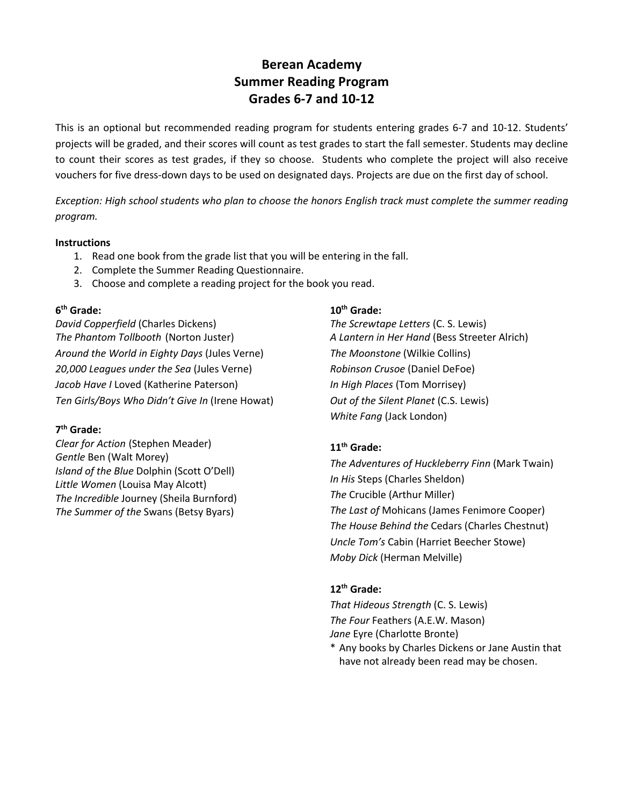# **Berean Academy Summer Reading Program Grades 6-7 and 10-12**

This is an optional but recommended reading program for students entering grades 6-7 and 10-12. Students' projects will be graded, and their scores will count as test grades to start the fall semester. Students may decline to count their scores as test grades, if they so choose. Students who complete the project will also receive vouchers for five dress-down days to be used on designated days. Projects are due on the first day of school.

*Exception: High school students who plan to choose the honors English track must complete the summer reading program.*

#### **Instructions**

- 1. Read one book from the grade list that you will be entering in the fall.
- 2. Complete the Summer Reading Questionnaire.
- 3. Choose and complete a reading project for the book you read.

#### **6th Grade:**

*David Copperfield* (Charles Dickens) *The Phantom Tollbooth* (Norton Juster) *Around the World in Eighty Days* (Jules Verne) *20,000 Leagues under the Sea* (Jules Verne) *Jacob Have I* Loved (Katherine Paterson) *Ten Girls/Boys Who Didn't Give In* (Irene Howat)

### **7th Grade:**

*Clear for Action* (Stephen Meader) *Gentle* Ben (Walt Morey) *Island of the Blue* Dolphin (Scott O'Dell) *Little Women* (Louisa May Alcott) *The Incredible* Journey (Sheila Burnford) *The Summer of the* Swans (Betsy Byars)

#### **10th Grade:**

*The Screwtape Letters* (C. S. Lewis) *A Lantern in Her Hand* (Bess Streeter Alrich) *The Moonstone* (Wilkie Collins) *Robinson Crusoe* (Daniel DeFoe) *In High Places* (Tom Morrisey) *Out of the Silent Planet* (C.S. Lewis) *White Fang* (Jack London)

### **11th Grade:**

*The Adventures of Huckleberry Finn* (Mark Twain) *In His* Steps (Charles Sheldon) *The* Crucible (Arthur Miller) *The Last of* Mohicans (James Fenimore Cooper) *The House Behind the* Cedars (Charles Chestnut) *Uncle Tom's* Cabin (Harriet Beecher Stowe) *Moby Dick* (Herman Melville)

# **12th Grade:**

*That Hideous Strength* (C. S. Lewis) *The Four* Feathers (A.E.W. Mason) *Jane* Eyre (Charlotte Bronte)

\* Any books by Charles Dickens or Jane Austin that have not already been read may be chosen.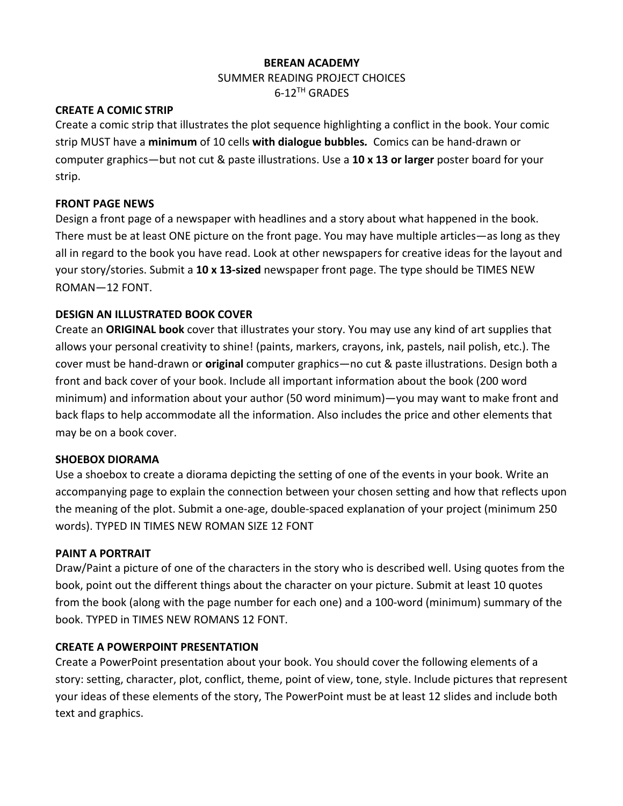# **BEREAN ACADEMY** SUMMER READING PROJECT CHOICES 6-12TH GRADES

### **CREATE A COMIC STRIP**

Create a comic strip that illustrates the plot sequence highlighting a conflict in the book. Your comic strip MUST have a **minimum** of 10 cells **with dialogue bubbles***.* Comics can be hand-drawn or computer graphics—but not cut & paste illustrations. Use a **10 x 13 or larger** poster board for your strip.

### **FRONT PAGE NEWS**

Design a front page of a newspaper with headlines and a story about what happened in the book. There must be at least ONE picture on the front page. You may have multiple articles—as long as they all in regard to the book you have read. Look at other newspapers for creative ideas for the layout and your story/stories. Submit a **10 x 13-sized** newspaper front page. The type should be TIMES NEW ROMAN—12 FONT.

### **DESIGN AN ILLUSTRATED BOOK COVER**

Create an **ORIGINAL book** cover that illustrates your story. You may use any kind of art supplies that allows your personal creativity to shine! (paints, markers, crayons, ink, pastels, nail polish, etc.). The cover must be hand-drawn or **original** computer graphics—no cut & paste illustrations. Design both a front and back cover of your book. Include all important information about the book (200 word minimum) and information about your author (50 word minimum)—you may want to make front and back flaps to help accommodate all the information. Also includes the price and other elements that may be on a book cover.

### **SHOEBOX DIORAMA**

Use a shoebox to create a diorama depicting the setting of one of the events in your book. Write an accompanying page to explain the connection between your chosen setting and how that reflects upon the meaning of the plot. Submit a one-age, double-spaced explanation of your project (minimum 250 words). TYPED IN TIMES NEW ROMAN SIZE 12 FONT

# **PAINT A PORTRAIT**

Draw/Paint a picture of one of the characters in the story who is described well. Using quotes from the book, point out the different things about the character on your picture. Submit at least 10 quotes from the book (along with the page number for each one) and a 100-word (minimum) summary of the book. TYPED in TIMES NEW ROMANS 12 FONT.

### **CREATE A POWERPOINT PRESENTATION**

Create a PowerPoint presentation about your book. You should cover the following elements of a story: setting, character, plot, conflict, theme, point of view, tone, style. Include pictures that represent your ideas of these elements of the story, The PowerPoint must be at least 12 slides and include both text and graphics.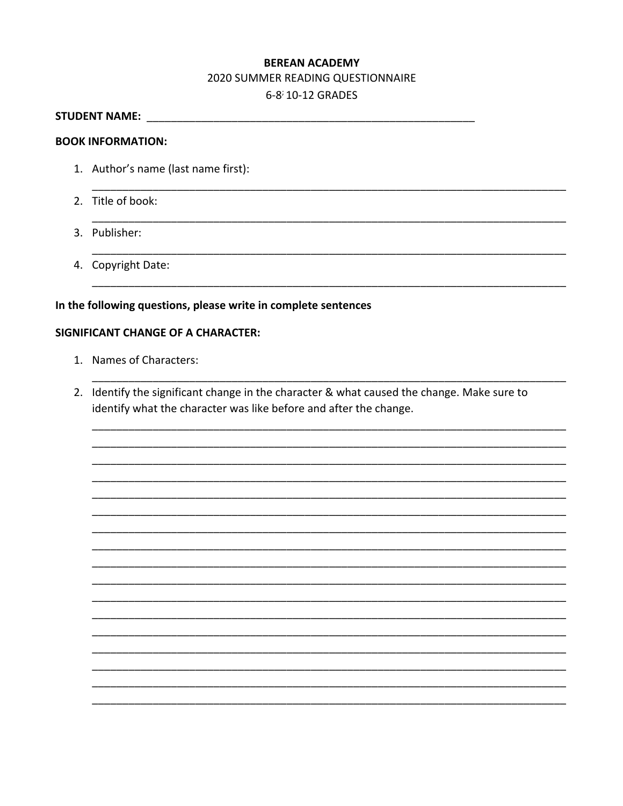# **BEREAN ACADEMY** 2020 SUMMER READING QUESTIONNAIRE 6-8<sup>;</sup> 10-12 GRADES

#### **STUDENT NAME:** And the state of the state of the state of the state of the state of the state of the state of the state of the state of the state of the state of the state of the state of the state of the state of the sta

#### **BOOK INFORMATION:**

- 1. Author's name (last name first):
- 2. Title of book:
- 3. Publisher:
- 4. Copyright Date:

## In the following questions, please write in complete sentences

### **SIGNIFICANT CHANGE OF A CHARACTER:**

- 1. Names of Characters:
- 2. Identify the significant change in the character & what caused the change. Make sure to identify what the character was like before and after the change.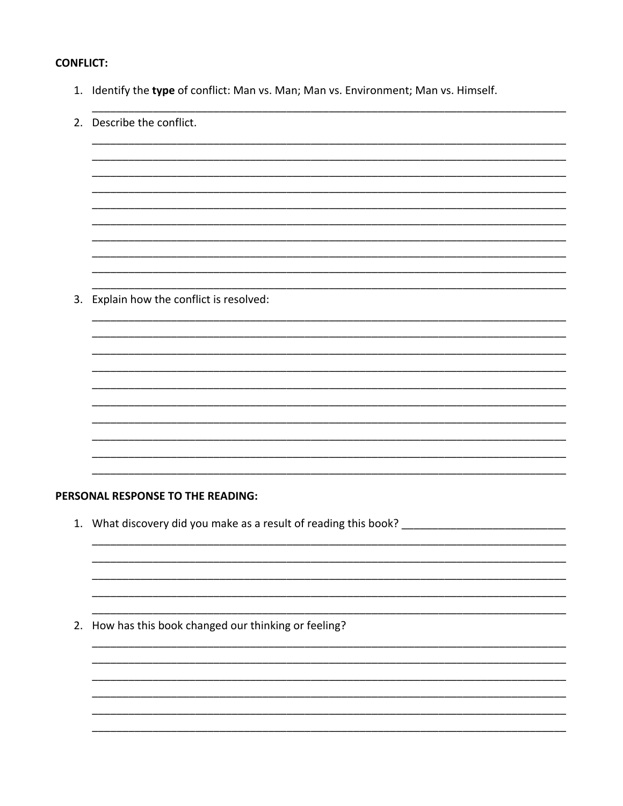#### **CONFLICT:**

1. Identify the type of conflict: Man vs. Man; Man vs. Environment; Man vs. Himself.

2. Describe the conflict. 3. Explain how the conflict is resolved:

#### PERSONAL RESPONSE TO THE READING:

2. How has this book changed our thinking or feeling?